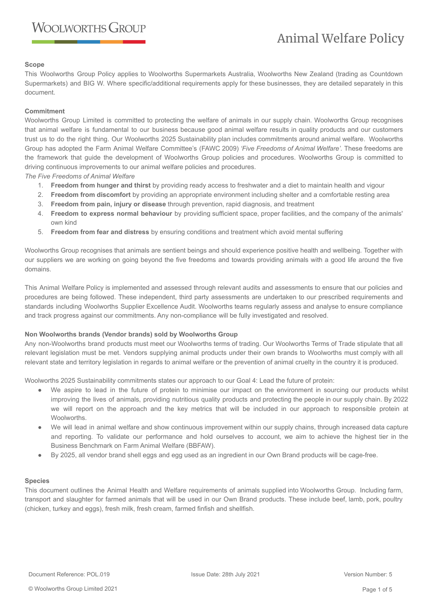### **Scope**

This Woolworths Group Policy applies to Woolworths Supermarkets Australia, Woolworths New Zealand (trading as Countdown Supermarkets) and BIG W. Where specific/additional requirements apply for these businesses, they are detailed separately in this document.

### **Commitment**

Woolworths Group Limited is committed to protecting the welfare of animals in our supply chain. Woolworths Group recognises that animal welfare is fundamental to our business because good animal welfare results in quality products and our customers trust us to do the right thing. Our Woolworths 2025 Sustainability plan includes commitments around animal welfare. Woolworths Group has adopted the Farm Animal Welfare Committee's (FAWC 2009) *'Five Freedoms of Animal Welfare'.* These freedoms are the framework that guide the development of Woolworths Group policies and procedures. Woolworths Group is committed to driving continuous improvements to our animal welfare policies and procedures.

*The Five Freedoms of Animal Welfare*

- 1. **Freedom from hunger and thirst** by providing ready access to freshwater and a diet to maintain health and vigour
- 2. **Freedom from discomfort** by providing an appropriate environment including shelter and a comfortable resting area
- 3. **Freedom from pain, injury or disease** through prevention, rapid diagnosis, and treatment
- 4. **Freedom to express normal behaviour** by providing sufficient space, proper facilities, and the company of the animals' own kind
- 5. **Freedom from fear and distress** by ensuring conditions and treatment which avoid mental suffering

Woolworths Group recognises that animals are sentient beings and should experience positive health and wellbeing. Together with our suppliers we are working on going beyond the five freedoms and towards providing animals with a good life around the five domains.

This Animal Welfare Policy is implemented and assessed through relevant audits and assessments to ensure that our policies and procedures are being followed. These independent, third party assessments are undertaken to our prescribed requirements and standards including Woolworths Supplier Excellence Audit. Woolworths teams regularly assess and analyse to ensure compliance and track progress against our commitments. Any non-compliance will be fully investigated and resolved.

# **Non Woolworths brands (Vendor brands) sold by Woolworths Group**

Any non-Woolworths brand products must meet our Woolworths terms of trading. Our Woolworths Terms of Trade stipulate that all relevant legislation must be met. Vendors supplying animal products under their own brands to Woolworths must comply with all relevant state and territory legislation in regards to animal welfare or the prevention of animal cruelty in the country it is produced.

Woolworths 2025 Sustainability commitments states our approach to our Goal 4: Lead the future of protein:

- We aspire to lead in the future of protein to minimise our impact on the environment in sourcing our products whilst improving the lives of animals, providing nutritious quality products and protecting the people in our supply chain. By 2022 we will report on the approach and the key metrics that will be included in our approach to responsible protein at Woolworths.
- We will lead in animal welfare and show continuous improvement within our supply chains, through increased data capture and reporting. To validate our performance and hold ourselves to account, we aim to achieve the highest tier in the Business Benchmark on Farm Animal Welfare (BBFAW).
- By 2025, all vendor brand shell eggs and egg used as an ingredient in our Own Brand products will be cage-free.

# **Species**

This document outlines the Animal Health and Welfare requirements of animals supplied into Woolworths Group. Including farm, transport and slaughter for farmed animals that will be used in our Own Brand products. These include beef, lamb, pork, poultry (chicken, turkey and eggs), fresh milk, fresh cream, farmed finfish and shellfish.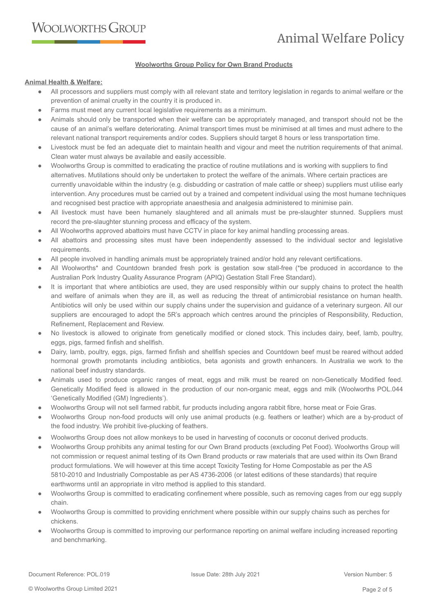### **Woolworths Group Policy for Own Brand Products**

### **Animal Health & Welfare:**

- All processors and suppliers must comply with all relevant state and territory legislation in regards to animal welfare or the prevention of animal cruelty in the country it is produced in.
- Farms must meet any current local legislative requirements as a minimum.
- Animals should only be transported when their welfare can be appropriately managed, and transport should not be the cause of an animal's welfare deteriorating. Animal transport times must be minimised at all times and must adhere to the relevant national transport requirements and/or codes. Suppliers should target 8 hours or less transportation time.
- Livestock must be fed an adequate diet to maintain health and vigour and meet the nutrition requirements of that animal. Clean water must always be available and easily accessible.
- Woolworths Group is committed to eradicating the practice of routine mutilations and is working with suppliers to find alternatives. Mutilations should only be undertaken to protect the welfare of the animals. Where certain practices are currently unavoidable within the industry (e.g. disbudding or castration of male cattle or sheep) suppliers must utilise early intervention. Any procedures must be carried out by a trained and competent individual using the most humane techniques and recognised best practice with appropriate anaesthesia and analgesia administered to minimise pain.
- All livestock must have been humanely slaughtered and all animals must be pre-slaughter stunned. Suppliers must record the pre-slaughter stunning process and efficacy of the system.
- All Woolworths approved abattoirs must have CCTV in place for key animal handling processing areas.
- All abattoirs and processing sites must have been independently assessed to the individual sector and legislative requirements.
- All people involved in handling animals must be appropriately trained and/or hold any relevant certifications.
- All Woolworths\* and Countdown branded fresh pork is gestation sow stall-free (\*be produced in accordance to the Australian Pork Industry Quality Assurance Program (APIQ) Gestation Stall Free Standard).
- It is important that where antibiotics are used, they are used responsibly within our supply chains to protect the health and welfare of animals when they are ill, as well as reducing the threat of antimicrobial resistance on human health. Antibiotics will only be used within our supply chains under the supervision and guidance of a veterinary surgeon. All our suppliers are encouraged to adopt the 5R's approach which centres around the principles of Responsibility, Reduction, Refinement, Replacement and Review.
- No livestock is allowed to originate from genetically modified or cloned stock. This includes dairy, beef, lamb, poultry, eggs, pigs, farmed finfish and shellfish.
- Dairy, lamb, poultry, eggs, pigs, farmed finfish and shellfish species and Countdown beef must be reared without added hormonal growth promotants including antibiotics, beta agonists and growth enhancers. In Australia we work to the national beef industry standards.
- Animals used to produce organic ranges of meat, eggs and milk must be reared on non-Genetically Modified feed. Genetically Modified feed is allowed in the production of our non-organic meat, eggs and milk (Woolworths POL.044 'Genetically Modified (GM) Ingredients').
- Woolworths Group will not sell farmed rabbit, fur products including angora rabbit fibre, horse meat or Foie Gras.
- Woolworths Group non-food products will only use animal products (e.g. feathers or leather) which are a by-product of the food industry. We prohibit live-plucking of feathers.
- Woolworths Group does not allow monkeys to be used in harvesting of coconuts or coconut derived products.
- Woolworths Group prohibits any animal testing for our Own Brand products (excluding Pet Food). Woolworths Group will not commission or request animal testing of its Own Brand products or raw materials that are used within its Own Brand product formulations. We will however at this time accept Toxicity Testing for Home Compostable as per the AS 5810-2010 and Industrially Compostable as per AS 4736-2006 (or latest editions of these standards) that require earthworms until an appropriate in vitro method is applied to this standard.
- Woolworths Group is committed to eradicating confinement where possible, such as removing cages from our egg supply chain.
- Woolworths Group is committed to providing enrichment where possible within our supply chains such as perches for chickens.
- Woolworths Group is committed to improving our performance reporting on animal welfare including increased reporting and benchmarking.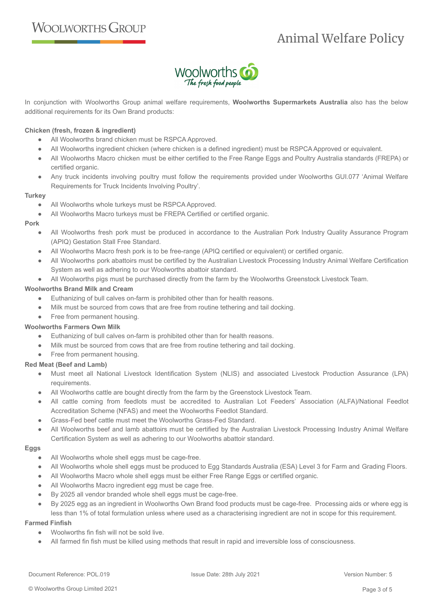

In conjunction with Woolworths Group animal welfare requirements, **Woolworths Supermarkets Australia** also has the below additional requirements for its Own Brand products:

### **Chicken (fresh, frozen & ingredient)**

- All Woolworths brand chicken must be RSPCA Approved.
- All Woolworths ingredient chicken (where chicken is a defined ingredient) must be RSPCA Approved or equivalent.
- All Woolworths Macro chicken must be either certified to the Free Range Eggs and Poultry Australia standards (FREPA) or certified organic.
- Any truck incidents involving poultry must follow the requirements provided under Woolworths GUI.077 'Animal Welfare Requirements for Truck Incidents Involving Poultry'.

### **Turkey**

- All Woolworths whole turkeys must be RSPCA Approved.
- All Woolworths Macro turkeys must be FREPA Certified or certified organic.

### **Pork**

- All Woolworths fresh pork must be produced in accordance to the Australian Pork Industry Quality Assurance Program (APIQ) Gestation Stall Free Standard.
- All Woolworths Macro fresh pork is to be free-range (APIQ certified or equivalent) or certified organic.
- All Woolworths pork abattoirs must be certified by the Australian Livestock Processing Industry Animal Welfare Certification System as well as adhering to our Woolworths abattoir standard.
- All Woolworths pigs must be purchased directly from the farm by the Woolworths Greenstock Livestock Team.

### **Woolworths Brand Milk and Cream**

- Euthanizing of bull calves on-farm is prohibited other than for health reasons.
- Milk must be sourced from cows that are free from routine tethering and tail docking.
- Free from permanent housing.

# **Woolworths Farmers Own Milk**

- Euthanizing of bull calves on-farm is prohibited other than for health reasons.
- Milk must be sourced from cows that are free from routine tethering and tail docking.
- Free from permanent housing.

# **Red Meat (Beef and Lamb)**

- Must meet all National Livestock Identification System (NLIS) and associated Livestock Production Assurance (LPA) requirements.
- All Woolworths cattle are bought directly from the farm by the Greenstock Livestock Team.
- All cattle coming from feedlots must be accredited to Australian Lot Feeders' Association (ALFA)/National Feedlot Accreditation Scheme (NFAS) and meet the Woolworths Feedlot Standard.
- Grass-Fed beef cattle must meet the Woolworths Grass-Fed Standard.
- All Woolworths beef and lamb abattoirs must be certified by the Australian Livestock Processing Industry Animal Welfare Certification System as well as adhering to our Woolworths abattoir standard.

#### **Eggs**

- All Woolworths whole shell eggs must be cage-free.
- All Woolworths whole shell eggs must be produced to Egg Standards Australia (ESA) Level 3 for Farm and Grading Floors.
- All Woolworths Macro whole shell eggs must be either Free Range Eggs or certified organic.
- All Woolworths Macro ingredient egg must be cage free.
- By 2025 all vendor branded whole shell eggs must be cage-free.
- By 2025 egg as an ingredient in Woolworths Own Brand food products must be cage-free. Processing aids or where egg is less than 1% of total formulation unless where used as a characterising ingredient are not in scope for this requirement.

#### **Farmed Finfish**

- Woolworths fin fish will not be sold live.
- All farmed fin fish must be killed using methods that result in rapid and irreversible loss of consciousness.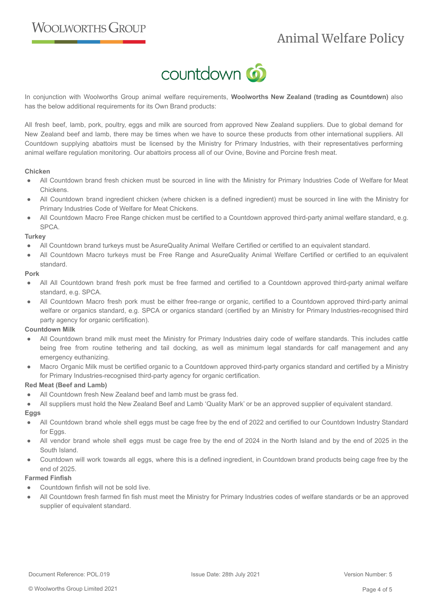

In conjunction with Woolworths Group animal welfare requirements, **Woolworths New Zealand (trading as Countdown)** also has the below additional requirements for its Own Brand products:

All fresh beef, lamb, pork, poultry, eggs and milk are sourced from approved New Zealand suppliers. Due to global demand for New Zealand beef and lamb, there may be times when we have to source these products from other international suppliers. All Countdown supplying abattoirs must be licensed by the Ministry for Primary Industries, with their representatives performing animal welfare regulation monitoring. Our abattoirs process all of our Ovine, Bovine and Porcine fresh meat.

### **Chicken**

- All Countdown brand fresh chicken must be sourced in line with the Ministry for Primary Industries Code of Welfare for Meat Chickens.
- All Countdown brand ingredient chicken (where chicken is a defined ingredient) must be sourced in line with the Ministry for Primary Industries Code of Welfare for Meat Chickens.
- All Countdown Macro Free Range chicken must be certified to a Countdown approved third-party animal welfare standard, e.g. SPCA.

### **Turkey**

- All Countdown brand turkeys must be AsureQuality Animal Welfare Certified or certified to an equivalent standard.
- All Countdown Macro turkeys must be Free Range and AsureQuality Animal Welfare Certified or certified to an equivalent standard.

#### **Pork**

- All All Countdown brand fresh pork must be free farmed and certified to a Countdown approved third-party animal welfare standard, e.g. SPCA.
- All Countdown Macro fresh pork must be either free-range or organic, certified to a Countdown approved third-party animal welfare or organics standard, e.g. SPCA or organics standard (certified by an Ministry for Primary Industries-recognised third party agency for organic certification).

# **Countdown Milk**

- All Countdown brand milk must meet the Ministry for Primary Industries dairy code of welfare standards. This includes cattle being free from routine tethering and tail docking, as well as minimum legal standards for calf management and any emergency euthanizing.
- Macro Organic Milk must be certified organic to a Countdown approved third-party organics standard and certified by a Ministry for Primary Industries-recognised third-party agency for organic certification.

# **Red Meat (Beef and Lamb)**

- All Countdown fresh New Zealand beef and lamb must be grass fed.
- All suppliers must hold the New Zealand Beef and Lamb 'Quality Mark' or be an approved supplier of equivalent standard.

# **Eggs**

- All Countdown brand whole shell eggs must be cage free by the end of 2022 and certified to our Countdown Industry Standard for Eggs.
- All vendor brand whole shell eggs must be cage free by the end of 2024 in the North Island and by the end of 2025 in the South Island.
- Countdown will work towards all eggs, where this is a defined ingredient, in Countdown brand products being cage free by the end of 2025.

# **Farmed Finfish**

- Countdown finfish will not be sold live.
- All Countdown fresh farmed fin fish must meet the Ministry for Primary Industries codes of welfare standards or be an approved supplier of equivalent standard.